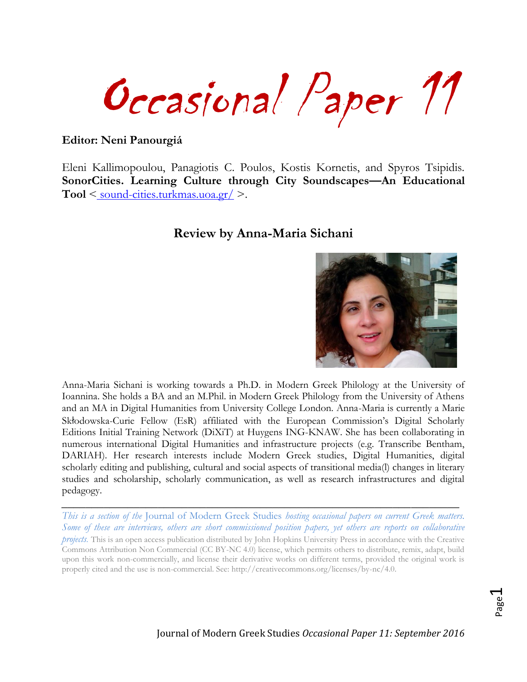Occasional Paper 11

#### **Editor: Neni Panourgiá**

Eleni Kallimopoulou, Panagiotis C. Poulos, Kostis Kornetis, and Spyros Tsipidis. **SonorCities. Learning Culture through City Soundscapes—An Educational Tool** < [sound-cities.turkmas.uoa.gr/](http://sound-cities.turkmas.uoa.gr/) >.

#### **Review by Anna-Maria Sichani**



Anna-Maria Sichani is working towards a Ph.D. in Modern Greek Philology at the University of Ioannina. She holds a BA and an M.Phil. in Modern Greek Philology from the University of Athens and an MA in Digital Humanities from University College London. Anna-Maria is currently a Marie Skłodowska-Curie Fellow (EsR) affiliated with the European Commission's Digital Scholarly Editions Initial Training Network (DiXiT) at Huygens ING-KNAW. She has been collaborating in numerous international Digital Humanities and infrastructure projects (e.g. Transcribe Bentham, DARIAH). Her research interests include Modern Greek studies, Digital Humanities, digital scholarly editing and publishing, cultural and social aspects of transitional media(l) changes in literary studies and scholarship, scholarly communication, as well as research infrastructures and digital pedagogy.

*This is a section of the* Journal of Modern Greek Studies *hosting occasional papers on current Greek matters. Some of these are interviews, others are short commissioned position papers, yet others are reports on collaborative projects.* This is an open access publication distributed by John Hopkins University Press in accordance with the Creative Commons Attribution Non Commercial (CC BY-NC 4.0) license, which permits others to distribute, remix, adapt, build upon this work non-commercially, and license their derivative works on different terms, provided the original work is properly cited and the use is non-commercial. See: [http://creativecommons.org/licenses/by-nc/4.0.](http://creativecommons.org/licenses/by-nc/4.0)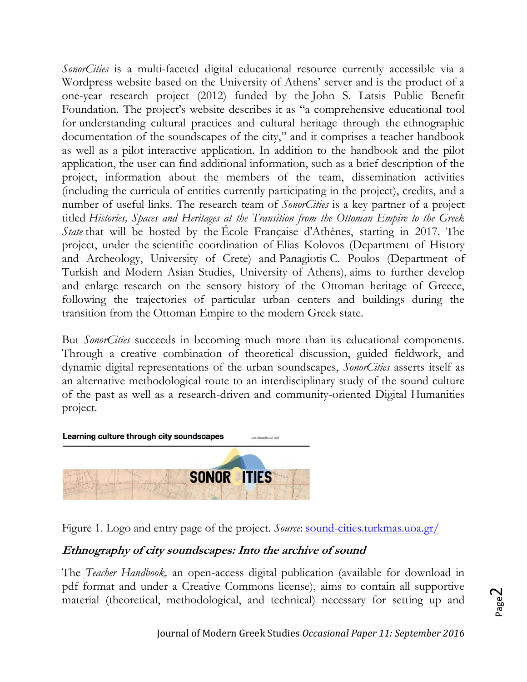*SonorCities* is a multi-faceted digital educational resource currently accessible via a Wordpress website based on the University of Athens' server and is the product of a one-year research project (2012) funded by the John S. Latsis Public Benefit Foundation. The project's website describes it as "a comprehensive educational tool for understanding cultural practices and cultural heritage through the ethnographic documentation of the soundscapes of the city," and it comprises a teacher handbook as well as a pilot interactive application. In addition to the handbook and the pilot application, the user can find additional information, such as a brief description of the project, information about the members of the team, dissemination activities (including the curricula of entities currently participating in the project), credits, and a number of useful links. The research team of *SonorCities* is a key partner of a project titled *Histories, Spaces and Heritages at the Transition from the Ottoman Empire to the Greek State* that will be hosted by the École Française d'Athènes, starting in 2017. The project, under the scientific coordination of Elias Kolovos (Department of History and Archeology, University of Crete) and Panagiotis C. Poulos (Department of Turkish and Modern Asian Studies, University of Athens), aims to further develop and enlarge research on the sensory history of the Ottoman heritage of Greece, following the trajectories of particular urban centers and buildings during the transition from the Ottoman Empire to the modern Greek state.

But *SonorCities* succeeds in becoming much more than its educational components. Through a creative combination of theoretical discussion, guided fieldwork, and dynamic digital representations of the urban soundscapes, *SonorCities* asserts itself as an alternative methodological route to an interdisciplinary study of the sound culture of the past as well as a research-driven and community-oriented Digital Humanities project.



Figure 1. Logo and entry page of the project. *Source*: sound-cities.turkmas.uoa.gr/

## **Ethnography of city soundscapes: Into the archive of sound**

The *Teacher Handbook,* an open-access digital publication (available for download in pdf format and under a Creative Commons license), aims to contain all supportive material (theoretical, methodological, and technical) necessary for setting up and

$$
P{\rm age}2
$$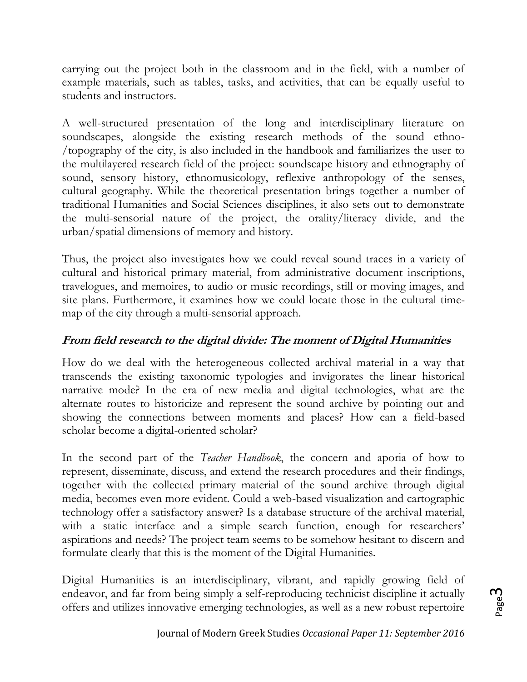carrying out the project both in the classroom and in the field, with a number of example materials, such as tables, tasks, and activities, that can be equally useful to students and instructors.

A well-structured presentation of the long and interdisciplinary literature on soundscapes, alongside the existing research methods of the sound ethno- /topography of the city, is also included in the handbook and familiarizes the user to the multilayered research field of the project: soundscape history and ethnography of sound, sensory history, ethnomusicology, reflexive anthropology of the senses, cultural geography. While the theoretical presentation brings together a number of traditional Humanities and Social Sciences disciplines, it also sets out to demonstrate the multi-sensorial nature of the project, the orality/literacy divide, and the urban/spatial dimensions of memory and history.

Thus, the project also investigates how we could reveal sound traces in a variety of cultural and historical primary material, from administrative document inscriptions, travelogues, and memoires, to audio or music recordings, still or moving images, and site plans. Furthermore, it examines how we could locate those in the cultural timemap of the city through a multi-sensorial approach.

# **From field research to the digital divide: The moment of Digital Humanities**

How do we deal with the heterogeneous collected archival material in a way that transcends the existing taxonomic typologies and invigorates the linear historical narrative mode? In the era of new media and digital technologies, what are the alternate routes to historicize and represent the sound archive by pointing out and showing the connections between moments and places? How can a field-based scholar become a digital-oriented scholar?

In the second part of the *Teacher Handbook*, the concern and aporia of how to represent, disseminate, discuss, and extend the research procedures and their findings, together with the collected primary material of the sound archive through digital media, becomes even more evident. Could a web-based visualization and cartographic technology offer a satisfactory answer? Is a database structure of the archival material, with a static interface and a simple search function, enough for researchers' aspirations and needs? The project team seems to be somehow hesitant to discern and formulate clearly that this is the moment of the Digital Humanities.

Digital Humanities is an interdisciplinary, vibrant, and rapidly growing field of endeavor, and far from being simply a self-reproducing technicist discipline it actually offers and utilizes innovative emerging technologies, as well as a new robust repertoire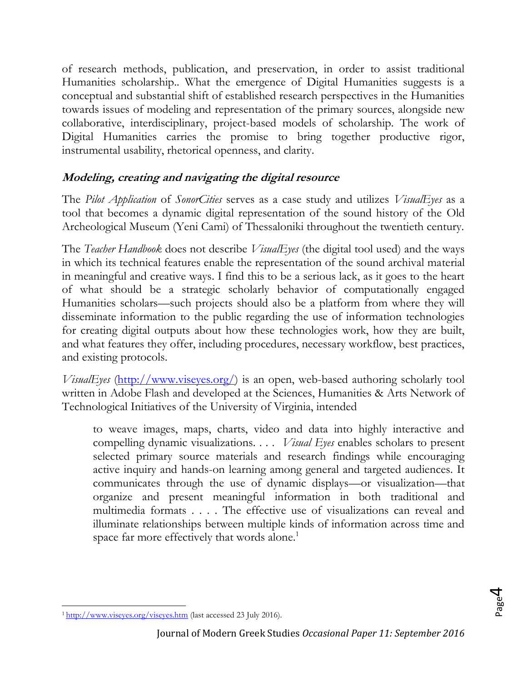of research methods, publication, and preservation, in order to assist traditional Humanities scholarship.. What the emergence of Digital Humanities suggests is a conceptual and substantial shift of established research perspectives in the Humanities towards issues of modeling and representation of the primary sources, alongside new collaborative, interdisciplinary, project-based models of scholarship. The work of Digital Humanities carries the promise to bring together productive rigor, instrumental usability, rhetorical openness, and clarity.

### **Modeling, creating and navigating the digital resource**

The *Pilot Application* of *SonorCities* serves as a case study and utilizes *VisualEyes* as a tool that becomes a dynamic digital representation of the sound history of the Old Archeological Museum (Yeni Cami) of Thessaloniki throughout the twentieth century.

The *Teacher Handbook* does not describe *VisualEyes* (the digital tool used) and the ways in which its technical features enable the representation of the sound archival material in meaningful and creative ways. I find this to be a serious lack, as it goes to the heart of what should be a strategic scholarly behavior of computationally engaged Humanities scholars—such projects should also be a platform from where they will disseminate information to the public regarding the use of information technologies for creating digital outputs about how these technologies work, how they are built, and what features they offer, including procedures, necessary workflow, best practices, and existing protocols.

*VisualEyes* [\(http://www.viseyes.org/\)](http://www.viseyes.org/) is an open, web-based authoring scholarly tool written in Adobe Flash and developed at the Sciences, Humanities & Arts Network of Technological Initiatives of the University of Virginia, intended

to weave images, maps, charts, video and data into highly interactive and compelling dynamic visualizations. . . . *Visual Eyes* enables scholars to present selected primary source materials and research findings while encouraging active inquiry and hands-on learning among general and targeted audiences. It communicates through the use of dynamic displays—or visualization—that organize and present meaningful information in both traditional and multimedia formats . . . . The effective use of visualizations can reveal and illuminate relationships between multiple kinds of information across time and space far more effectively that words alone.<sup>1</sup>

 $\overline{a}$ <sup>1</sup> <http://www.viseyes.org/viseyes.htm> (last accessed 23 July 2016).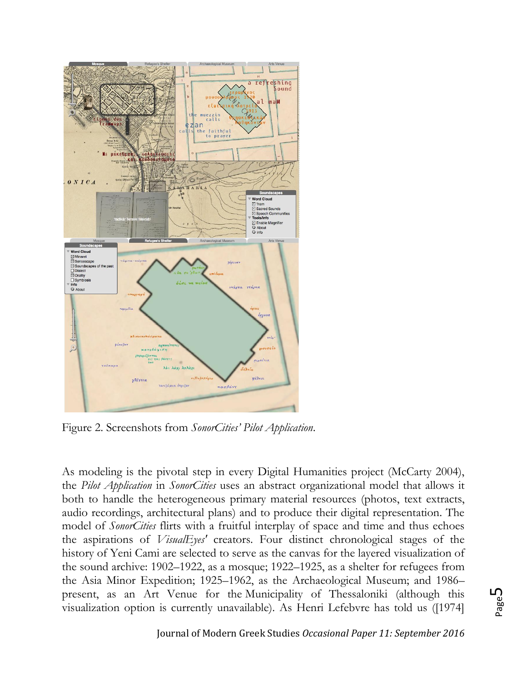

Figure 2. Screenshots from *SonorCities' Pilot Application*.

As modeling is the pivotal step in every Digital Humanities project (McCarty 2004), the *Pilot Application* in *SonorCities* uses an abstract organizational model that allows it both to handle the heterogeneous primary material resources (photos, text extracts, audio recordings, architectural plans) and to produce their digital representation. The model of *SonorCities* flirts with a fruitful interplay of space and time and thus echoes the aspirations of *VisualEyes'* creators. Four distinct chronological stages of the history of Yeni Cami are selected to serve as the canvas for the layered visualization of the sound archive: 1902–1922, as a mosque; 1922–1925, as a shelter for refugees from the Asia Minor Expedition; 1925–1962, as the Archaeological Museum; and 1986– present, as an Art Venue for the Municipality of Thessaloniki (although this visualization option is currently unavailable). As Henri Lefebvre has told us ([1974]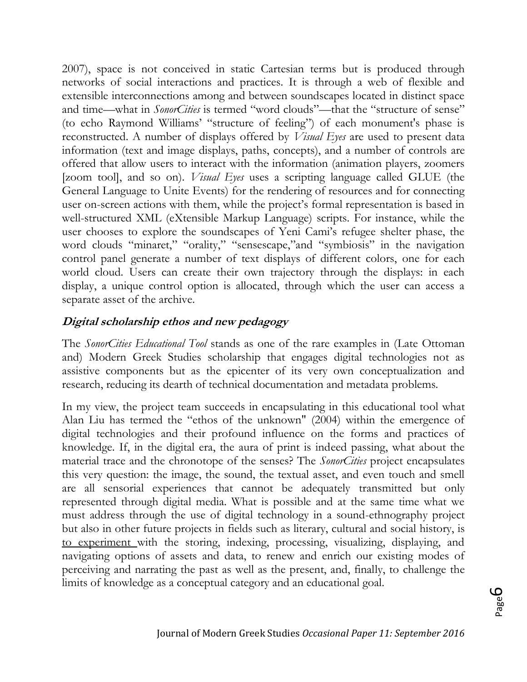2007), space is not conceived in static Cartesian terms but is produced through networks of social interactions and practices. It is through a web of flexible and extensible interconnections among and between soundscapes located in distinct space and time—what in *SonorCities* is termed "word clouds"—that the "structure of sense" (to echo Raymond Williams' "structure of feeling") of each monument's phase is reconstructed. A number of displays offered by *Visual Eyes* are used to present data information (text and image displays, paths, concepts), and a number of controls are offered that allow users to interact with the information (animation players, zoomers [zoom tool], and so on). *Visual Eyes* uses a scripting language called GLUE (the General Language to Unite Events) for the rendering of resources and for connecting user on-screen actions with them, while the project's formal representation is based in well-structured XML (eXtensible Markup Language) scripts. For instance, while the user chooses to explore the soundscapes of Yeni Cami's refugee shelter phase, the word clouds "minaret," "orality," "sensescape,"and "symbiosis" in the navigation control panel generate a number of text displays of different colors, one for each world cloud. Users can create their own trajectory through the displays: in each display, a unique control option is allocated, through which the user can access a separate asset of the archive.

#### **Digital scholarship ethos and new pedagogy**

The *SonorCities Educational Tool* stands as one of the rare examples in (Late Ottoman and) Modern Greek Studies scholarship that engages digital technologies not as assistive components but as the epicenter of its very own conceptualization and research, reducing its dearth of technical documentation and metadata problems*.*

In my view, the project team succeeds in encapsulating in this educational tool what Alan Liu has termed the "ethos of the unknown" (2004) within the emergence of digital technologies and their profound influence on the forms and practices of knowledge. If, in the digital era, the aura of print is indeed passing, what about the material trace and the chronotope of the senses? The *SonorCities* project encapsulates this very question: the image, the sound, the textual asset, and even touch and smell are all sensorial experiences that cannot be adequately transmitted but only represented through digital media. What is possible and at the same time what we must address through the use of digital technology in a sound-ethnography project but also in other future projects in fields such as literary, cultural and social history, is to experiment with the storing, indexing, processing, visualizing, displaying, and navigating options of assets and data, to renew and enrich our existing modes of perceiving and narrating the past as well as the present, and, finally, to challenge the limits of knowledge as a conceptual category and an educational goal.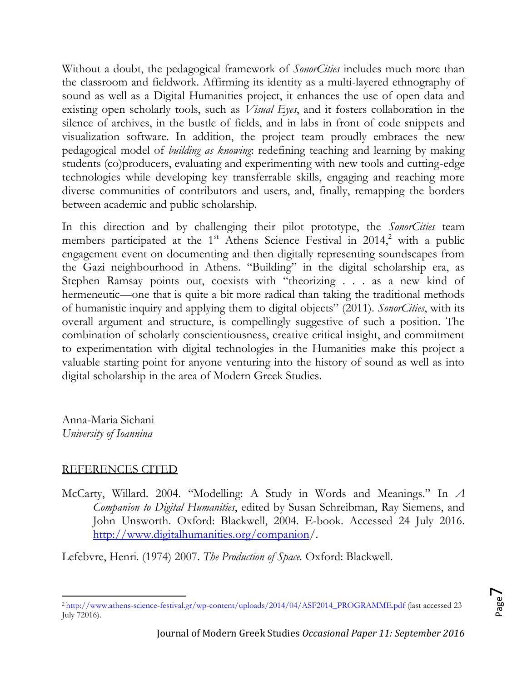Without a doubt, the pedagogical framework of *SonorCities* includes much more than the classroom and fieldwork. Affirming its identity as a multi-layered ethnography of sound as well as a Digital Humanities project, it enhances the use of open data and existing open scholarly tools, such as *Visual Eyes*, and it fosters collaboration in the silence of archives, in the bustle of fields, and in labs in front of code snippets and visualization software. In addition, the project team proudly embraces the new pedagogical model of *building as knowing*: redefining teaching and learning by making students (co)producers, evaluating and experimenting with new tools and cutting-edge technologies while developing key transferrable skills, engaging and reaching more diverse communities of contributors and users, and, finally, remapping the borders between academic and public scholarship.

In this direction and by challenging their pilot prototype, the *SonorCities* team members participated at the  $1<sup>st</sup>$  Athens Science Festival in 2014,<sup>2</sup> with a public engagement event on documenting and then digitally representing soundscapes from the Gazi neighbourhood in Athens. "Building" in the digital scholarship era, as Stephen Ramsay points out, coexists with "theorizing . . . as a new kind of hermeneutic—one that is quite a bit more radical than taking the traditional methods of humanistic inquiry and applying them to digital objects" (2011). *SonorCities*, with its overall argument and structure, is compellingly suggestive of such a position. The combination of scholarly conscientiousness, creative critical insight, and commitment to experimentation with digital technologies in the Humanities make this project a valuable starting point for anyone venturing into the history of sound as well as into digital scholarship in the area of Modern Greek Studies.

Anna-Maria Sichani *University of Ioannina*

### REFERENCES CITED

McCarty, Willard. 2004. "Modelling: A Study in Words and Meanings." In *A Companion to Digital Humanities*, edited by Susan Schreibman, Ray Siemens, and John Unsworth. Oxford: Blackwell, 2004. E-book. Accessed 24 July 2016. [http://www.digitalhumanities.org/companion/](http://www.digitalhumanities.org/companion).

Lefebvre, Henri. (1974) 2007. *The Production of Space.* Oxford: Blackwell.

 $\overline{a}$ <sup>2</sup> [http://www.athens-science-festival.gr/wp-content/uploads/2014/04/ASF2014\\_PROGRAMME.pdf](http://www.athens-science-festival.gr/wp-content/uploads/2014/04/ASF2014_PROGRAMME.pdf) (last accessed 23 July 72016).